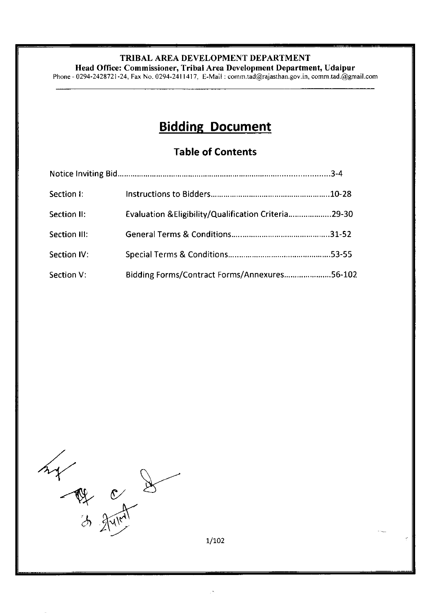Head Office: Commissioner, Tribal Area Development Department, Udaipur

Phone - 0294-2428721-24, Fax No. 0294-2411417, E-Mail: comm.tad@rajasthan.gov.in, comm.tad.@gmail.com

# Bidding Document

# Table of Contents

| Section I:   |                                                      |  |
|--------------|------------------------------------------------------|--|
| Section II:  | Evaluation & Eligibility/Qualification Criteria29-30 |  |
| Section III: |                                                      |  |
| Section IV:  |                                                      |  |
| Section V:   | Bidding Forms/Contract Forms/Annexures56-102         |  |

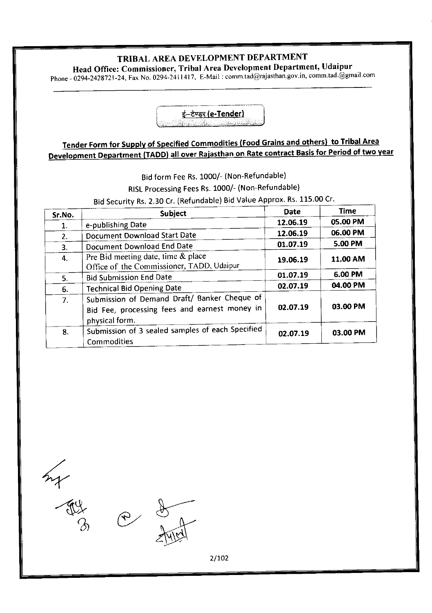Head Office: Commissioner, Tribal Area Development Department, Udaipur

. phone - 0294-242g'72 t-24, Fax No. 029 4-211l4l'7, E-Mail : conrm.tad@rajasthan.gov.in, comm.tad.@gmail com



# Tender Form for Supply of Specified Commodities (Food Grains and others) to Tribal Area Development Department (TADD) all over Rajasthan on Rate contract Basis for Period of two year

Bid form Fee Rs. 1000/- (Non-Refundable)

RISL Processing Fees Rs. 1000/- (Non-Refundable)

Bid Security Rs. 2.30 Cr. (Refundable) Bid Value Approx. Rs. 115.00 Cr.

| Sr.No. | <b>Subject</b>                                                                                                  | Date     | Time     |
|--------|-----------------------------------------------------------------------------------------------------------------|----------|----------|
| 1.     | e-publishing Date                                                                                               | 12.06.19 | 05.00 PM |
| 2.     | Document Download Start Date                                                                                    | 12.06.19 | 06.00 PM |
| 3.     | Document Download End Date                                                                                      | 01.07.19 | 5.00 PM  |
| 4.     | Pre Bid meeting date, time & place<br>Office of the Commissioner, TADD, Udaipur                                 | 19.06.19 | 11.00 AM |
| 5.     | <b>Bid Submission End Date</b>                                                                                  | 01.07.19 | 6.00 PM  |
| 6.     | <b>Technical Bid Opening Date</b>                                                                               | 02.07.19 | 04.00 PM |
| 7.     | Submission of Demand Draft/ Banker Cheque of<br>Bid Fee, processing fees and earnest money in<br>physical form. | 02.07.19 | 03.00 PM |
| 8.     | Submission of 3 sealed samples of each Specified<br>Commodities                                                 | 02.07.19 | 03.00 PM |

4.

- A4  $\mathcal{B}$ 

2 8

2/7O2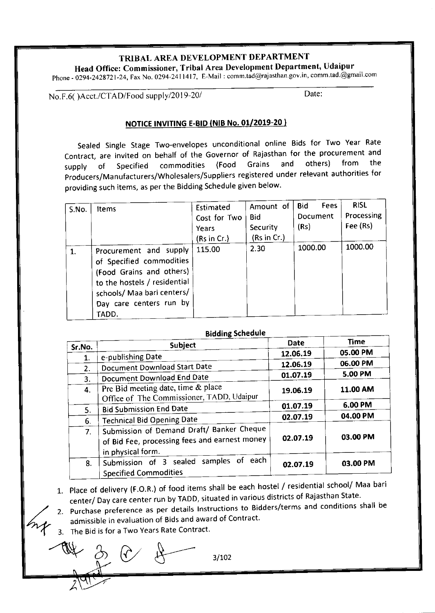Head Office: Commissioner, Tribal Area Development Department, Udaipur Phone - 0294-2428721-24, Fax No. 0294-2411417, E-Mail: comm.tad@rajasthan.gov.in, comm.tad.@gmail.com

No.F.6()Acct./CTAD/Food supply/2019-20/ Date:

## NOTICE INVITING E-BID (NIB No. 01/2019-20)

sealed Single stage Two-envelopes unconditional online Bids for Two Year Rate Contract, are invited on behalf of the Governor of Rajasthan for the procurement and<br>supply of Specified commodities (Food Grains and others) from the supply of Specified commodities (Food Grains and others) from the producers/Manufacturers/Wholesalers/Suppliers registered under relevant authorities for providing such items, as per the Bidding Schedule given below'

| S.No. | <b>Items</b>                                                                                                                                                                     | Estimated<br>Cost for Two<br>Years<br>(Rs in Cr.) | Amount of<br>Bid<br>Security<br>(Rs in Cr.) | <b>Fees</b><br>Bid<br>Document<br>(Rs) | <b>RISL</b><br>Processing<br>Fee (Rs) |
|-------|----------------------------------------------------------------------------------------------------------------------------------------------------------------------------------|---------------------------------------------------|---------------------------------------------|----------------------------------------|---------------------------------------|
|       | Procurement and supply<br>of Specified commodities<br>(Food Grains and others)<br>to the hostels / residential<br>schools/ Maa bari centers/<br>Day care centers run by<br>TADD. | 115.00                                            | 2.30                                        | 1000.00                                | 1000.00                               |

| <b>Bidding Schedule</b> |                                                                                                                 |             |             |  |  |
|-------------------------|-----------------------------------------------------------------------------------------------------------------|-------------|-------------|--|--|
| Sr.No.                  | Subject                                                                                                         | <b>Date</b> | <b>Time</b> |  |  |
| 1.                      | e-publishing Date                                                                                               | 12.06.19    | 05.00 PM    |  |  |
| 2.                      | Document Download Start Date                                                                                    | 12.06.19    | 06.00 PM    |  |  |
| 3.                      | Document Download End Date                                                                                      | 01.07.19    | 5.00 PM     |  |  |
| 4.                      | Pre Bid meeting date, time & place<br>Office of The Commissioner, TADD, Udaipur                                 | 19.06.19    | 11.00 AM    |  |  |
| 5.                      | <b>Bid Submission End Date</b>                                                                                  | 01.07.19    | 6.00 PM     |  |  |
| 6.                      | <b>Technical Bid Opening Date</b>                                                                               | 02.07.19    | 04.00 PM    |  |  |
| 7.                      | Submission of Demand Draft/ Banker Cheque<br>of Bid Fee, processing fees and earnest money<br>in physical form. | 02.07.19    | 03.00 PM    |  |  |
| 8.                      | Submission of 3 sealed samples of each<br><b>Specified Commodities</b>                                          | 02.07.19    | 03.00 PM    |  |  |

Schedule

1. Place of delivery (F.O.R.) of food items shall be each hostel / residential school/ Maa bari center/ Day care center run by TADD, situated in various districts of Rajasthan State.

- 2. Purchase preference as per details Instructions to Bidders/terms and conditions shall be admissible in evaluation of Bids and award of Contract.
- 3. The Bid is for a Two Years Rate Contract.

 $-4$  3/102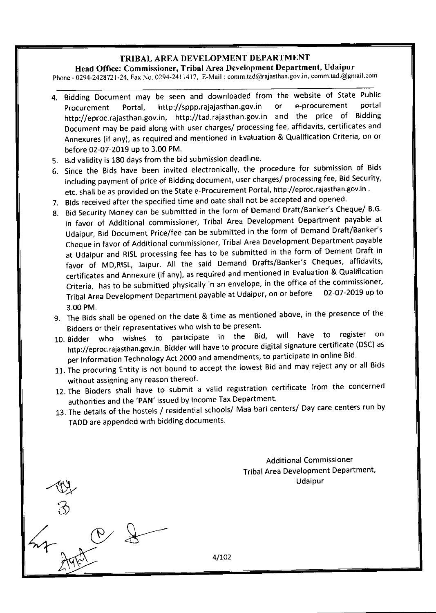Head Office: Commissioner, Tribal Area Development Department, Udaipur

Phone - 0294-2428721-24, Fax No. 0294-2411417, E-Mail : comm.tad@rajasthan.gov.in, comm.tad.@gmail.com

- 4. Bidding Document may be seen and downloaded from the website of State Public<br>Procurement Portal http://sppp.rajajasthan.gov.in or e-procurement portal Procurement Portal, http://sppp.rajajasthan.gov.in http://eproc.rajasthan.gov.in, http://tad.rajasthan.gov.in and the price of Bidding Document may be paid along with user charges/ processing fee, affidavits, certificates and Annexures (if any), as required and mentioned in Evaluatlon & Qualification Criteria, on or before 02-07-2019 up to 3.00 PM.
- 5. Bid validity is 180 days from the bid submission deadline.

,(}

 $\zeta$ 

 $44.0^\circ$ 

A9707

- 6. Since the Bids have been invited electronically, the procedure for submission of Bids including payment of price of Bidding document, user charges/ processing fee, Bid security, etc. shall be as provided on the State e-Procurement Portal, http://eproc.rajasthan.gov.in .
- 7. Bids received after the specified time and date shall not be accepted and opened.
- 8. Bid security Money can be submitted in the form of Demand Draft/Banker's cheque/ B.G. in favor of Additional commissioner, Tribal Area Development Department payable at udaipur, Bid Document Price/fee can be submitted in the form of Demand Draft/Banker's Cheque in favor of Additional commissioner, Tribal Area Development Department payaote at Udaipur and RISL processing fee has to be submitted in the form of Dement Draft in favor of MD,RISL, Jaipur. All the said Demand Drafts/Banker's Cheques, affidavits, certificates and Annexure (if any), as required and mentioned in Evaluation & Qualification Criteria, has to be submitted physically in an envelope, in the office of the commissioner,<br>Tribel Asse Davelopment Department payable at Udainur, on or before 02-07-2019 up to Tribal Area Development Department payable at Udaipur, on or before 3.00 PM.
- 9. The Bids shall be opened on the date & time as mentioned above, in the presence of  $t$ Bidders or their representatives who wish to be present.
- Low Bidder who wishes to participate in the Bid, will have to register on http://eproc.rajasthan.gov.in. Bidder will have to procure digital signature certificate (DSC) as per Information Technology Act 2000 and amendments, to participate in online Bid.
- 11. The procuring Entity is not bound to accept the lowest Bid and may reject any or all Bids without assigning any reason thereof.
- 12. The Bidders shall have to submit a valid registration certificate from the concerned authorities and the 'PAN' issued by Income Tax Department.
- 13. The details of the hostels / residential schools/ Maa bari centers/ Day care centers run by TADD are appended with bidding documents'

Additional Commissioner Tribal Area Development Department, Udaipur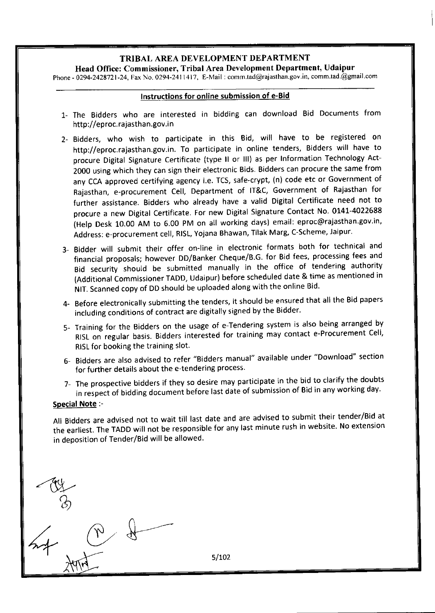Head Office: Commissioner, Tribal Area Development Department, Udaipur Phore - 0294-242872l-24, Fax No. 0294-2411417, E-Mail : comm.tad@rajasthan.gov in, comm.tad.@gmail.com

#### lnstructions for online submission of e-Bid

- 1- The Bidders who are interested in bidding can download Bid Documents from http://eproc.rajasthan.gov.in
- 2- Bidders, who wish to participate in this Bid, will have to be registered on http://eproc.rajasthan.gov.in. To participate in online tenders, Bidders will have to procure Digital signature certificate (type ll or lll) as per Information Technology Act-2000 using which they can sign their electronic Bids. Bidders can procure the same from any CCA approved certifying agency i.e. TCS, safe-crypt, (n) code etc or Government of Rajasthan, e-procurement cell, Department of lT&c, Government of Rajasthan for further assistance. Bidders who already have a valid Digital certificate need not to procure a new Digital Certificate. For new Digital Signature Contact No. 0141-4022688 (Help Desk 10.00 AM to 6.00 PM on all working days) email: eproc@rajasthan.gov.in, Address: e-procurement cell, RISL, Yojana Bhawan, Tilak Marg, C-Scheme, Jaipur.
- 3- Bidder will submit their offer on-line in electronic formats both for technical and financial proposals; however DD/Banker Cheque/B.G. for Bid fees, processing fees and Bid security should be submitted manually in the office of tendering authority (Additional Commissioner TADD, Udaipur) before scheduled date & time as mentioned in NlT. Scanned copy of DD should be uploaded along with the online Bid'
- 4- Before electronically submitting the tenders, it should be ensured that all the Bid papers including conditions of contract are digitally signed by the Bidder.
- 5- Training for the Bidders on the usage of e-Tendering system is also being arranged by RlsL on regular basis. Bidders interested for training may contact e-Procurement cell, RISL for booking the training slot.
- 6- Bidders are also advised to refer "Bidders manual" available under "Download" section for further details about the e-tendering process.
- 7- The prospective bidders if they so desire may participate in the bid to clarify the doubts in respect of bidding document before last date of submission of Bid in any working day.

#### Special Note :-

 $\overline{\wedge}$ 

 $n \rightarrow \ell$ 

All Bidders are advised not to wait till last date and are advised to submit their tender/Bid at the earliest. The TADD will not be responsible for any last minute rush in website. No extension in deposition of Tender/Bid will be allowed.

.&-  $\beta$ )

 $\overline{p}$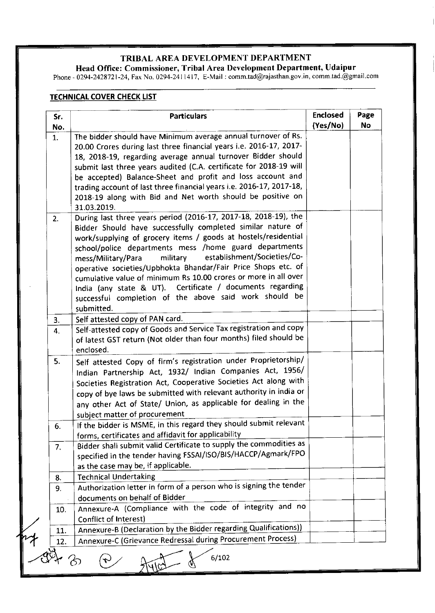Head Office: Commissioner, Tribal Area Development Department, Udaipur

Phone - 0294-2428'121-24, Fax No. 0294'2411417, E-Mail : comm.tad@rajasthan.gov.in, comm tad.@gmail.com

## **TECHNICAL COVER CHECK LIST**

| Sr.<br>No.     | <b>Particulars</b>                                                                                                                                                                                                                                                                                                                                                                                                                                                                                                                                                                                   | <b>Enclosed</b><br>(Yes/No) | Page<br><b>No</b> |
|----------------|------------------------------------------------------------------------------------------------------------------------------------------------------------------------------------------------------------------------------------------------------------------------------------------------------------------------------------------------------------------------------------------------------------------------------------------------------------------------------------------------------------------------------------------------------------------------------------------------------|-----------------------------|-------------------|
| 1.             | The bidder should have Minimum average annual turnover of Rs.<br>20.00 Crores during last three financial years i.e. 2016-17, 2017-<br>18, 2018-19, regarding average annual turnover Bidder should<br>submit last three years audited (C.A. certificate for 2018-19 will<br>be accepted) Balance-Sheet and profit and loss account and<br>trading account of last three financial years i.e. 2016-17, 2017-18,<br>2018-19 along with Bid and Net worth should be positive on<br>31.03.2019.                                                                                                         |                             |                   |
| 2.             | During last three years period (2016-17, 2017-18, 2018-19), the<br>Bidder Should have successfully completed similar nature of<br>work/supplying of grocery items / goods at hostels/residential<br>school/police departments mess /home guard departments<br>establishment/Societies/Co-<br>military<br>mess/Military/Para<br>operative societies/Upbhokta Bhandar/Fair Price Shops etc. of<br>cumulative value of minimum Rs 10.00 crores or more in all over<br>India (any state & UT). Certificate / documents regarding<br>successful completion of the above said work should be<br>submitted. |                             |                   |
| 3 <sub>1</sub> | Self attested copy of PAN card.                                                                                                                                                                                                                                                                                                                                                                                                                                                                                                                                                                      |                             |                   |
| 4.             | Self-attested copy of Goods and Service Tax registration and copy<br>of latest GST return (Not older than four months) filed should be<br>enclosed.                                                                                                                                                                                                                                                                                                                                                                                                                                                  |                             |                   |
| 5.             | Self attested Copy of firm's registration under Proprietorship/<br>Indian Partnership Act, 1932/ Indian Companies Act, 1956/<br>Societies Registration Act, Cooperative Societies Act along with<br>copy of bye laws be submitted with relevant authority in india or<br>any other Act of State/ Union, as applicable for dealing in the<br>subject matter of procurement                                                                                                                                                                                                                            |                             |                   |
| 6.             | If the bidder is MSME, in this regard they should submit relevant<br>forms, certificates and affidavit for applicability                                                                                                                                                                                                                                                                                                                                                                                                                                                                             |                             |                   |
| 7.             | Bidder shall submit valid Certificate to supply the commodities as<br>specified in the tender having FSSAI/ISO/BIS/HACCP/Agmark/FPO<br>as the case may be, if applicable.                                                                                                                                                                                                                                                                                                                                                                                                                            |                             |                   |
| 8.             | <b>Technical Undertaking</b>                                                                                                                                                                                                                                                                                                                                                                                                                                                                                                                                                                         |                             |                   |
| 9.             | Authorization letter in form of a person who is signing the tender<br>documents on behalf of Bidder                                                                                                                                                                                                                                                                                                                                                                                                                                                                                                  |                             |                   |
| 10.            | Annexure-A (Compliance with the code of integrity and no<br>Conflict of Interest)                                                                                                                                                                                                                                                                                                                                                                                                                                                                                                                    |                             |                   |
| 11.            | Annexure-B (Declaration by the Bidder regarding Qualifications))                                                                                                                                                                                                                                                                                                                                                                                                                                                                                                                                     |                             |                   |
| 12.            | Annexure-C (Grievance Redressal during Procurement Process)                                                                                                                                                                                                                                                                                                                                                                                                                                                                                                                                          |                             |                   |

P Ayles 8 6/102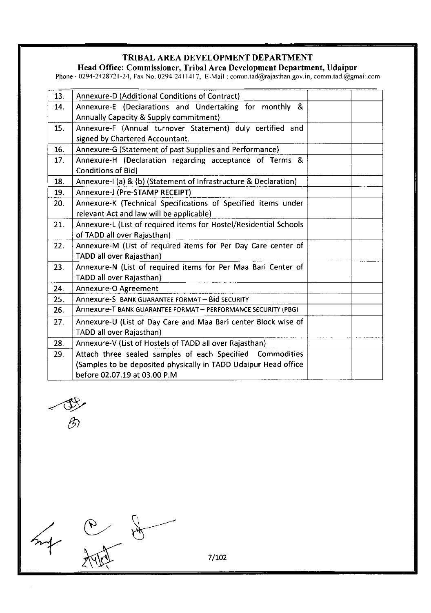Head Oflice: Commissioner, Tribal Area Development Department, Udaipur

Phone - 0294-242812 | -24, Fax No. 0294-241l4l'l, E-Mail : comm.tad@rajasthan.gov.in, comm.tad.@gmail.com

| 13. | Annexure-D (Additional Conditions of Contract)                                |  |
|-----|-------------------------------------------------------------------------------|--|
| 14. | Annexure-E (Declarations and Undertaking for monthly &                        |  |
|     | Annually Capacity & Supply commitment)                                        |  |
| 15. | Annexure-F (Annual turnover Statement) duly certified and                     |  |
|     | signed by Chartered Accountant.                                               |  |
| 16. | Annexure-G (Statement of past Supplies and Performance)                       |  |
| 17. | Annexure-H (Declaration regarding acceptance of Terms &<br>Conditions of Bid) |  |
| 18. | Annexure-I (a) & (b) (Statement of Infrastructure & Declaration)              |  |
| 19. | Annexure-J (Pre-STAMP RECEIPT)                                                |  |
| 20. | Annexure-K (Technical Specifications of Specified items under                 |  |
|     | relevant Act and law will be applicable)                                      |  |
| 21. | Annexure-L (List of required items for Hostel/Residential Schools             |  |
|     | of TADD all over Rajasthan)                                                   |  |
| 22. | Annexure-M (List of required items for Per Day Care center of                 |  |
|     | TADD all over Rajasthan)                                                      |  |
| 23. | Annexure-N (List of required items for Per Maa Bari Center of                 |  |
|     | TADD all over Rajasthan)                                                      |  |
| 24. | Annexure-O Agreement                                                          |  |
| 25. | Annexure-S BANK GUARANTEE FORMAT - Bid SECURITY                               |  |
| 26. | Annexure-T BANK GUARANTEE FORMAT - PERFORMANCE SECURITY (PBG)                 |  |
| 27. | Annexure-U (List of Day Care and Maa Bari center Block wise of                |  |
|     | TADD all over Rajasthan)                                                      |  |
| 28. | Annexure-V (List of Hostels of TADD all over Rajasthan)                       |  |
| 29. | Attach three sealed samples of each Specified Commodities                     |  |
|     | (Samples to be deposited physically in TADD Udaipur Head office               |  |
|     | before 02.07.19 at 03.00 P.M                                                  |  |

'@0)

 $4/$ 

 $\begin{matrix} \uparrow \end{matrix}$ 

 $\frac{1}{2}$ 

7 /1O2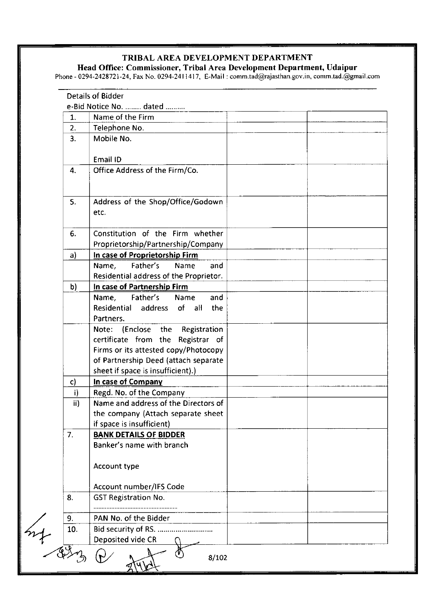Head Office: Commissioner, Tribal Area Development Department, Udaipur

Phone - 0294-2428721-24, Fax No. 0294-2411417, E-Mail : comm.tad@rajasthan.gov.in, comm.tad.@gmail.con

|     | e-Bid Notice No.  dated                |  |
|-----|----------------------------------------|--|
| 1.  | Name of the Firm                       |  |
| 2.  | Telephone No.                          |  |
| 3.  | Mobile No.                             |  |
|     | Email ID                               |  |
| 4.  | Office Address of the Firm/Co.         |  |
|     |                                        |  |
|     |                                        |  |
| 5.  | Address of the Shop/Office/Godown      |  |
|     | etc.                                   |  |
|     |                                        |  |
| 6.  | Constitution of the Firm whether       |  |
|     | Proprietorship/Partnership/Company     |  |
| a)  | In case of Proprietorship Firm         |  |
|     | Father's<br>Name,<br>Name<br>and       |  |
|     | Residential address of the Proprietor. |  |
| b)  | In case of Partnership Firm            |  |
|     | Father's<br>Name,<br>Name<br>and       |  |
|     | Residential address<br>of all<br>the   |  |
|     | Partners.                              |  |
|     | Note: (Enclose the<br>Registration     |  |
|     | certificate from the Registrar of      |  |
|     | Firms or its attested copy/Photocopy   |  |
|     | of Partnership Deed (attach separate   |  |
|     | sheet if space is insufficient).)      |  |
| c)  | In case of Company                     |  |
| i)  | Regd. No. of the Company               |  |
| ii) | Name and address of the Directors of   |  |
|     | the company (Attach separate sheet     |  |
|     | if space is insufficient)              |  |
| 7.  | <b>BANK DETAILS OF BIDDER</b>          |  |
|     | Banker's name with branch              |  |
|     | Account type                           |  |
|     |                                        |  |
|     | Account number/IFS Code                |  |
| 8.  | <b>GST Registration No.</b>            |  |
|     |                                        |  |
| 9.  | PAN No. of the Bidder                  |  |
| 10. | Bid security of RS.                    |  |
|     | Deposited vide CR                      |  |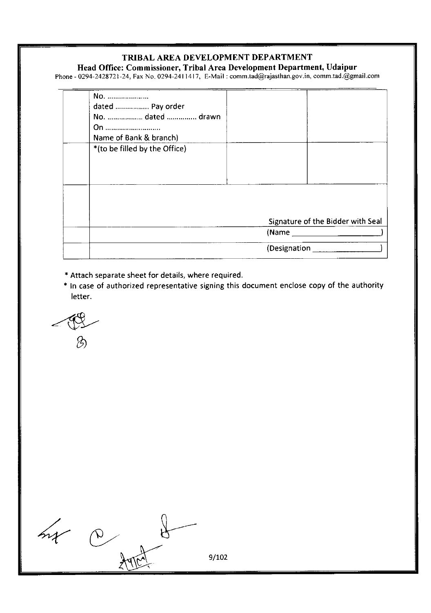Head Office: Commissioner, Tribal Area Development Department, Udaipur

Phone - 0294-2428721-24, Fax No. 0294-2411417, E-Mail : comm.tad@rajasthan.gov.in, comm.tad.@gmail.com

| No.                           |              |                                   |
|-------------------------------|--------------|-----------------------------------|
| dated  Pay order              |              |                                   |
| No.  dated  drawn             |              |                                   |
| On                            |              |                                   |
| Name of Bank & branch)        |              |                                   |
| *(to be filled by the Office) |              |                                   |
|                               |              |                                   |
|                               |              |                                   |
|                               |              |                                   |
|                               |              |                                   |
|                               |              |                                   |
|                               |              |                                   |
|                               |              | Signature of the Bidder with Seal |
|                               | (Mame        |                                   |
|                               |              |                                   |
|                               | (Designation |                                   |
|                               |              |                                   |

- \* Attach separate sheet for details, where required.
- + ln case of authorized representative signing this document enclose copy of the authority letter.

--w  $\hat{\mathscr{D}}$ 

|  | 9/102 |
|--|-------|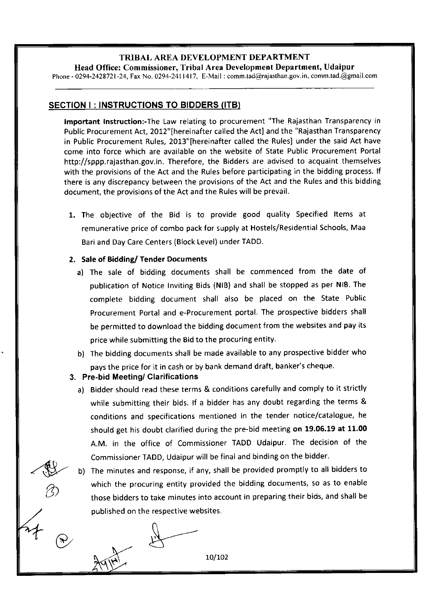Head Office: Commissioner, Tribal Area Development Department, Udaipur Phone - 0294-2428'721-24, Fax No. 0294-241l417, E-Mail : comm.tad@rajasthan.gov.in, comm.tad.@gmail.com

# SECTION I: INSTRUCTIONS TO BIDDERS (ITB)

lmportant Instruction:-The Law relating to procurement "The Rajasthan Transparency in Public Procurement Act, 2012" [hereinafter called the Act] and the "Rajasthan Transparency in Public Procurement Rules, 2013" [hereinafter called the Rules] under the said Act have come into force which are available on the website of State Public Procurement Portal http://sppp. rajasthan.gov. in. Therefore, the Bidders are advised to acquaint themselves with the provisions of the Act and the Rules before participating in the bidding process. lf there is any discrepancy between the provisions of the Act and the Rules and this bidding document, the provisions of the Act and the Rules will be prevail.

1. The objective of the Bid is to provide good quality Specified ltems at remunerative price of combo pack for supply at Hostels/Residential Schools, Maa Bari and Day Care Centers (Block Level) under TADD.

# 2. Sale of Bidding/ Tender Documents

- a) The sale of bidding documents shall be commenced from the date of publication of Notice Inviting Bids (NlB) and shall be stopped as per NlB. The complete bidding document shall also be placed on the State Public Procurement Portal and e-Procurement portal. The prospective bidders shall be permitted to download the bidding document from the websites and pay its price while submitting the Bid to the procuring entity.
- b) The bidding documents shall be made available to any prospective bidder who pays the price for it in cash or by bank demand draft, banker's cheque.

# 3. Pre-bid Meeting/ Clarifications

/w

G)

 $\begin{matrix} t \end{matrix}$ 

o

 $\mathfrak{S}$ 

 $\overline{r}$ 

- a) Bidder should read these terms & conditions carefully and comply to it strictly while submitting their bids. lf a bidder has any doubt regarding the terms & conditions and soecifications mentioned in the tender notice/catalogue, he should get his doubt clarified during the pre-bid meeting on 19.05.19 at 11.00 A.M. in the office of Commissioner TADD Udaipur. The decision of the Commissioner TADD, Udaipur will be final and binding on the bidder.
- b) The minutes and response, if any, shall be provided promptly to all bidders to which the procuring entity provided the bidding documents, so as to enable those bidders to take minutes into account in preparing their bids, and shall be published on the respective websites.

 $10/102$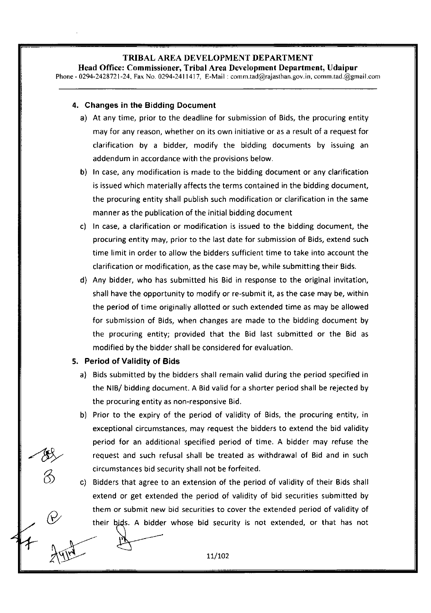Head Office: Commissioner, Tribal Area Development Department, Udaipur Phone - 0294-2428721-24, Fax No. 0294-2411417, E-Mail : comm.tad@rajasthan.gov.in, comm.tad.@gmail.com

#### 4. Changes in the Bidding Document

- a) At any time, prior to the deadline for submission of Bids, the procuring entity may for any reason, whether on its own initiative or as a result of a request for clarification by a bidder, modify the bidding documents by issuing an addendum in accordance with the provisions below.
- b) In case, any modification is made to the bidding document or any clarification is issued which materially affects the terms contained in the bidding document, the procuring entity shall publish such modification or clarification in the same manner as the publication of the initial bidding document
- c) In case, a clarification or modification is issued to the bidding document, the procuring entity may, prior to the last date for submission of Bids, extend such time limit in order to allow the bidders sufficient time to take into account the clarification or modification, as the case may be, while submitting their Bids.
- d) Any bidder, who has submitted his Bid in response to the original invitation, shall have the opportunity to modify or re-submit it, as the case may be, within the period of time originally allotted or such extended time as may be allowed for submission of Bids, when changes are made to the bidding document by the procuring entity; provided that the Bid last submitted or the Bid as modified by the bidder shall be considered for evaluation.

#### 5. Period of Validity of Bids

 $\longrightarrow$ 

- a) Bids submitted by the bidders shall remain valid during the period specified in the NIB/ bidding document. A Bid valid for a shorter period shall be rejected by the procuring entity as non-responsive Bid
- b) Prior to the expiry of the period of validity of Bids, the procuring entity, in exceptional circumstances, may request the bidders to extend the bid validity period for an additional specified period of time. A bidder may refuse the request and such refusal shall be treated as withdrawal of Bid and in such

circumstances bid security shall not be forfeited.<br>
c) Bidders that agree to an extension of the period of validity of their Bids shall extend or get extended the period of validity of bid securities submitted by them or submit new bid securities to cover the extended period of validity of their bids. A bidder whose bid security is not extended, or that has not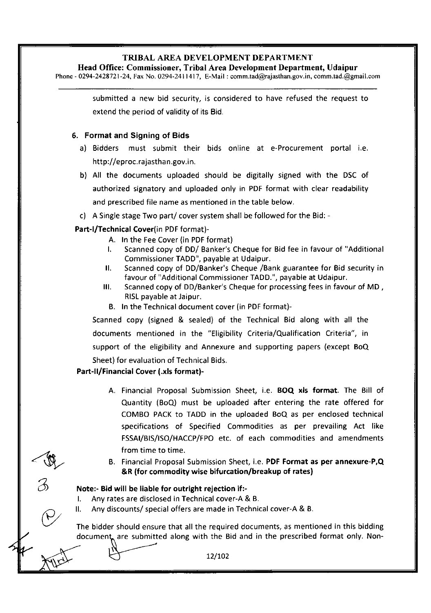Head Office: Commissioner, Tribal Area Development Department, Udaipur

Phone - 0294-2428721-24, Fax No. 0294-2411417, E-Mail : comm.tad@rajasthan.gov.in, comm.tad.@gmail.com

submitted a new bid security, is considered to have refused the request to extend the period of validity of its Bid.

#### 6. Format and Signing of Bids

- a) Bidders must submit their bids online at e-Procurement portal i.e. http://eproc.rajasthan.gov.in.
- b) All the documents uploaded should be digitally signed with the DSC of authorized signatory and uploaded only in PDF format with clear readability and prescribed file name as mentioned in the table below.
- c) A Single stage Two part/ cover system shall be followed for the Bid: -

## Part-l/Technical Cover(in PDF format)-

- A. In the Fee Cover (in PDF format)
- l. Scanned copy of DD/ Banker's Cheque for Bid fee in favour of "Additional Commissioner TADD", payable at Udaipur.
- ll. Scanned copy of DD/Banker's Cheque /Bank guarantee for Bid security in favour of "Additional Commissioner TADD.", payable at Udaipur.
- lll. Scanned copy of DD/Banker's Cheque for processing fees in favour of MD , RISL payable at Jaipur.
- B. In the Technical document cover (in PDF format)-

Scanned copy (signed & sealed) of the Technical Bid along with all the documents mentioned in the "Eligibility Criteria/Qualification Criteria", in support of the eligibility and Annexure and supporting papers (except BoQ Sheet) for evaluation of Technical Bids.

## Part-ll/Financial Cover (.xls format)-

- A. Financial Proposal Submission Sheet, i.e. BOQ xls format. The Bill of Quantity (BoQ) must be uploaded after entering the rate offered for COMBo PACK to TADD in the uploaded BoQ as per enclosed technical specifications of Specified Commodities as per prevailing Act like FSSAI/BIS/ISO/HACCP/FPO etc. of each commodities and amendments from time to time.
- B. Financial Proposal Submission Sheet, i.e. PDF Format as per annexure-P,Q &R (for commodity wise bifurcation/breakup of rates)

## Note:- Bid will be liable for outright rejection if :-

- l. Any rates are disclosed in Technical cover-A & B.
- ll. Any discounts/ special offers are made in Technical cover-A & B.

The bidder should ensure that all the required documents, as mentioned in this bidding document, are submitted along with the Bid and in the prescribed format only. Non-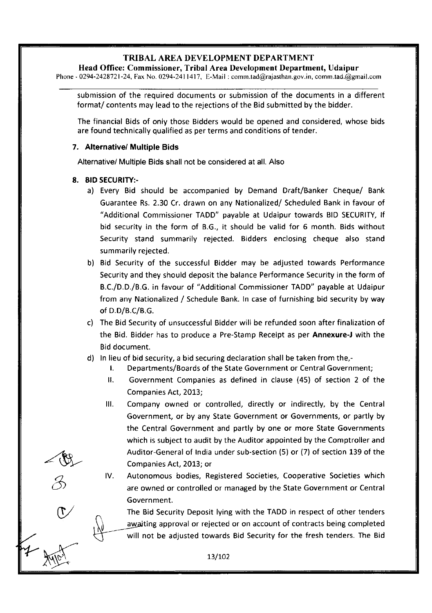Head Office: Commissioner, Tribal Area Development Department, Udaipur

Phone - 0294-2428'721-24, Fax No. 0294-241 1417, E-Mail : comm.tad@rajasthan.gov.in, comm.tad.@gmail.com

submission of the required documents or submission of the documents in a different format/ contents may lead to the rejections of the Bid submitted by the bidder.

The financial Bids of only those Bidders would be opened and considered, whose bids are found technically qualified as per terms and conditions of tender.

#### 7. Alternative/ Multiple Bids

Alternative/ Multiple Bids shall not be considered at all. Also

#### 8. BID SECURITY:-

t'w

B

 $\mathbb{C}^2$ 

- a) Every Bid should be accompanied by Demand Draft/Banker Cheque/ Bank Guarantee Rs. 2.30 Cr. drawn on any Nationalized/ Scheduled Bank in favour of "Additional Commissioner TADD" payable at Udaipur towards BID SECURITY, lf bid security in the form of 8.G., it should be valid for 6 month. Bids without Security stand summarily rejected. Bidders enclosing cheque also stand summarily rejected.
- b) Bid Security of the successful Bidder may be adjusted towards Performance Security and they should deposit the balance Performance Security in the form of B.C./D.D./8.G. in favour of "Additional Commissioner TADD" payable at Udaipur from any Nationalized / Schedule Bank. In case of furnishing bid security by way of D.D/B.C/8.G.
- c) The Bid Security of unsuccessful Bidder will be refunded soon after finalization of the Bid. Bidder has to produce a Pre-Stamp Receipt as per Annexure-J with the Bid document.
- d) In lieu of bid security, a bid securing declaration shall be taken from the,-
	- **I.** Departments/Boards of the State Government or Central Government;
	- ll. Government Companies as defined in clause (45) of section 2 of the Companies Act, 2013;
	- lll. Company owned or controlled, directly or indirectly, by the Central Government, or by any State Government or Governments, or partly by the Central Government and partly by one or more State Governments which is subject to audit by the Auditor appointed by the Comptroller and Auditor-General of India under sub-section (5) or (7) of section 139 of the Companies Act, 2013; or
	- lV. Autonomous bodies, Registered Societies, Cooperative Societies which are owned or controlled or managed by the State Government or Central Government.

The Bid Security Deposit lying with the TADD in respect of other tenders awaiting approval or rejected or on account of contracts being completed will not be adjusted towards Bid Security for the fresh tenders. The Bid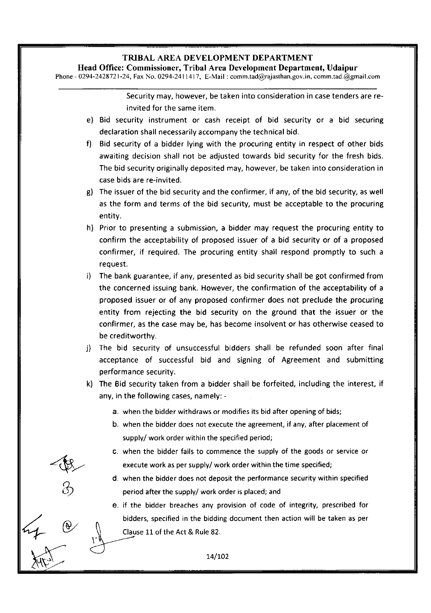Head Office: Commissioner, Tribal Area Development Department, Udaipur

Phone - 0294-2428721-24, Fax No. 0294-2411417, E-Mail : comm.tad@rajasthan.gov.in, comm.tad.@gmail.com

Security may, however, be taken into consideration in case tenders are reinvited for the same item.

- e) Bid security instrument or cash receipt of bid security or a bid securing declaration shall necessarily accompany the technical bid.
- f) Bid security of a bidder lying with the procuring entity in respect of other bids awaiting decision shall not be adjusted towards bid security for the fresh bids. The bid security originally deposited may, however, be taken into consideration in case bids are re-invited.
- $g$ ) The issuer of the bid security and the confirmer, if any, of the bid security, as well as the form and terms of the bid security, must be acceptable to the procuring entity.
- h) Prior to presenting a submission, a bidder may request the procuring entity to confirm the acceptability of proposed issuer of a bid security or of a proposed confirmer, if required. The procuring entity shall respond promptly to such <sup>a</sup> req uest.
- The bank guarantee, if any, presented as bid security shall be got confirmed from the concerned issuing bank. However, the confirmation of the acceptability of <sup>a</sup> proposed issuer or of any proposed confirmer does not preclude the procuring entity from rejecting the bid security on the ground that the issuer or the confirmer, as the case may be, has become insolvent or has otherwise ceased to be creditworthy.
- j) The bid security of unsuccessful bidders shall be refunded soon after final acceptance of successful bid and signing of Agreement and submitting performance security.
- k) The Bid security taken from a bidder shall be forfeited, including the interest, if any, in the following cases, namely:
	- a. when the bidder withdraws or modifies its bid after opening of bids;
	- b, when the bidder does not execute the agreement, if any, after placement of supply/ work order within the specified period;
	- c. when the bidder fails to commence the supply of the goods or service or execute work as per supply/ work order within the time specified;
	- d. when the bidder does not deposit the performance security within specified period after the supply/ work order is placed; and
	- e. if the bidder breaches any provision of code of integrity, prescribed for bidders, specified in the bidding document then action will be taken as per Clause 11 of the Act & Rule 82.

74.1O2

 $\mathcal{U}$ 

 $\left\langle \bigoplus_{i=1}^n\right\rangle$ 

 $\overrightarrow{1.1}$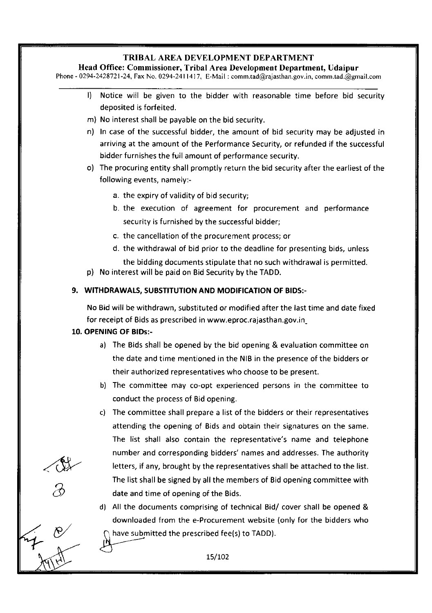Head Office: Commissioner, Tribal Area Development Department, Udaipur

Phone - 0294-2428721-24, Fax No. 0294-2411417, E-Mail: comm.tad@rajasthan.gov.in, comm.tad.@gmail.com

- l) Notice will be given to the bidder with reasonable time before bid security deposited is forfeited.
- m) No interest shall be payable on the bid security.
- n) In case of the successful bidder, the amount of bid security may be adjusted in arriving at the amount of the Performance Security, or refunded if the successful bidder furnishes the full amount of performance security.
- o) The procuring entity shall promptly return the bid security after the earliest of the following events, namely:
	- a. the expiry of validity of bid security;
	- b. the execution of agreement for procurement and performance security is furnished by the successful bidder;
	- c. the cancellation of the procurement process; or
	- d. the withdrawal of bid prior to the deadline for presenting bids, unless

the bidding documents stipulate that no such withdrawal is permitted. p) No interest will be paid on Bid Security by the TADD.

9. WITHDRAWALS, SUBSTITUTION AND MODIFICATION OF BIDS:-

No Bid will be withdrawn, substituted or modified after the last time and date fixed for receipt of Bids as prescribed in www.eproc.rajasthan.gov.in

## 10. OPENING OF BlDs:-

- a) The Bids shall be opened by the bid opening & evaluation committee on the date and time mentioned in the NIB in the oresence of the bidders or their authorized representatives who choose to be present.
- b) The committee may co-opt experienced persons in the committee to conduct the process of Bid opening.
- c) The committee shall prepare a list of the bidders or their representatives attending the opening of Bids and obtain their signatures on the same. The list shall also contain the representative's name and telephone number and corresponding bidders'names and addresses. The authority letters, if any, brought by the representatives shall be attached to the list. The list shall be signed by all the members of Bid opening committee with date and time of opening of the Bids.
- d) All the documents comprising of technical Bid/ cover shall be opened & downloaded from the e-Procurement website (only for the bidders who have submitted the prescribed fee(s) to TADD).  $\bigoplus$

L5/Lo2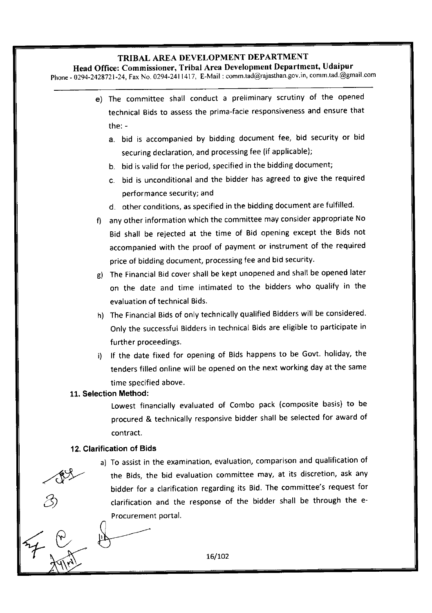Head Office: Commissioner, Tribal Area Development Department, Udaipur Phone - 0294-2428721-24, Fax No. 0294-2411417, E-Mail: comm.tad@rajasthan.gov.in, comm.tad.@gmail.com

.4\*'  $77.6$ e) The committee shall conduct a preliminary scrutiny of the opened technical Bids to assess the prima-facie responsiveness and ensure that the: a. bid is accompanied by bidding document fee, bid security or bid securing declaration, and processing fee (if applicable); b. bid is valid for the period, specified in the bidding document; c. bid is unconditional and the bidder has agreed to give the required performance security; and d. other conditions, as specified in the bidding document are fulfilled. f) any other information which the committee may consider appropriate No Bid shall be rejected at the time of Bid opening except the Bids not accompanied with the proof of payment or instrument of the required price of bidding document, processing fee and bid security. g) The Financial Bid cover shall be kept unopened and shall be opened later on the date and time intimated to the bidders who qualify in the evaluation of technical Bids. h) The Financial Bids of only technically qualified Bidders will be considered Only the successful Bidders in technical Bids are eligible to participate in further proceedings. i) If the date fixed for opening of Bids happens to be Govt. holiday, the tenders filled online will be opened on the next working day at the same time soecified above. 11. Selection Method: Lowest financially evaluated of Combo pack (composite basis) to be procured & technically responsive bidder shall be selected for award of contract. 12. Clarification of Bids a) To assist in the examination, evaluation, comparison and qualification of the Bids, the bid evaluation committee may, at its discretion, ask any bidder for a clarification regarding its Bid. The committee's request for clarification and the response of the bidder shall be through the e-Procurement portal.

 $16/102$ 

3)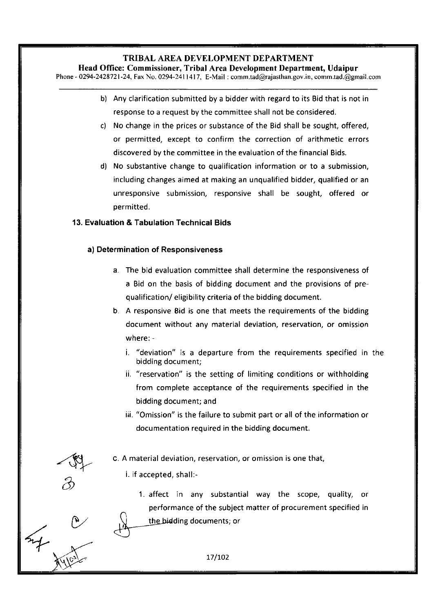Head Office: Commissioner, Tribal Area Development Department, Udaipur

Phone - 0294-2428721-24, Fax No. 0294-2411417, E-Mail : comm.tad@rajasthan.gov.in, comm.tad.@gmail.com

- b) Any clarification submitted by a bidder with regard to its Bid that is not in response to a request by the committee shall not be considered.
- c) No change in the prices or substance of the Bid shall be sought, offered, or permitted, except to confirm the correction of arithmetic errors discovered by the committee in the evaluation of the financial Bids.
- d) No substantive change to qualification information or to a submission, including changes aimed at making an unqualified bidder, qualified or an unresponsive submission, responsive shall be sought, offered or oermitted.

# 13. Evaluation & Tabulation Technical Bids

# a) Determination of Responsiveness

- The bid evaluation committee shall determine the resoonsiveness of a Bid on the basis of bidding document and the provisions of prequalification/ eligibility criteria of the bidding document.
- b. A responsive Bid is one that meets the requirements of the bidding document without any material deviation, reservation, or omission where:
	- i, "deviation" is a departure from the requirements specified in the bidding document;
	- ii, "reservation" is the setting of limiting conditions or withholding from complete acceptance of the requirements specified in the bidding document; and
	- iii. "Omission" is the failure to submit part or all of the information or documentation required in the bidding document.

A material deviation, reservation, or omission is one that,

i. if accepted, shall:-

w 2

 $\mathcal{C}$ 

E)

1. affect in any substantial way the scope, quality, or performance of the subject matter of procurement specified in the bidding documents; or

r.! <sup>17</sup>/7O2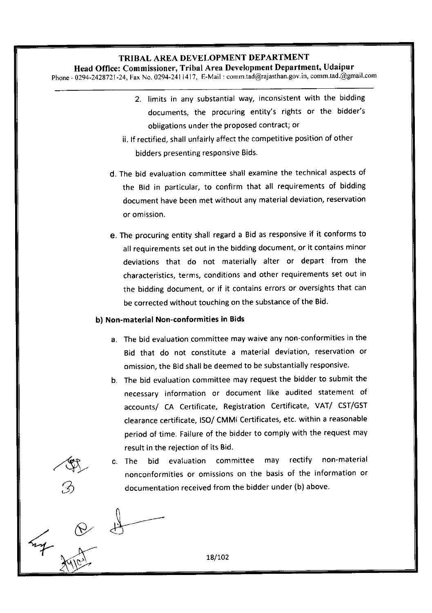Head Office: Commissioner, Tribal Area Development Department, Udaipur

phone - 0294-2428721-24, Fax No. 0294-2411417, E-Mail : comm.tad@rajasthan.gov.in, comm.tad.@gmail,com

- 2. limits in any substantial way, inconsistent with the bidding documents, the procuring entity's rights or the bidder's obligations under the proposed contract; or
- ii. lf rectified, shall unfairly affect the competitive position of other bidders presenting responsive Bids.
- d. The bid evaluation committee shall examine the technical aspects of the Bid in particular, to confirm that all requirements of bidding document have been met without any material deviation, reservation or omission.
- e. The procuring entity shall regard a Bid as responsive if it conforms to all requirements set out in the bidding document, or it contains minor deviations that do not materially alter or depart from the characteristics, terms, conditions and other requirements set out in the bidding document, or if it contains errors or oversights that can be corrected without touching on the substance of the Bid.

#### b) Non-material Non-conformities in Bids

/w

 $\setminus$ 

- The bid evaluation committee may waive any non-conformities in the Bid that do not constitute a material deviation, reservation or omission, the Bid shall be deemed to be substantially responsive.
- b. The bid evaluation committee may request the bidder to submit the necessarv information or document like audited statement of accounts/ CA Certificate, Registration Certificate, VAT/ CST/GST clearance certificate, ISO/ CMMi Certificates, etc. within a reasonable period of time. Failure of the bidder to comply with the request may result in the rejection of its Bid.
- c. The bid evaluation committee may rectify non-material nonconformities or omissions on the basis of the information or documentation received from the bidder under (b) above.

ry & ly- 18/102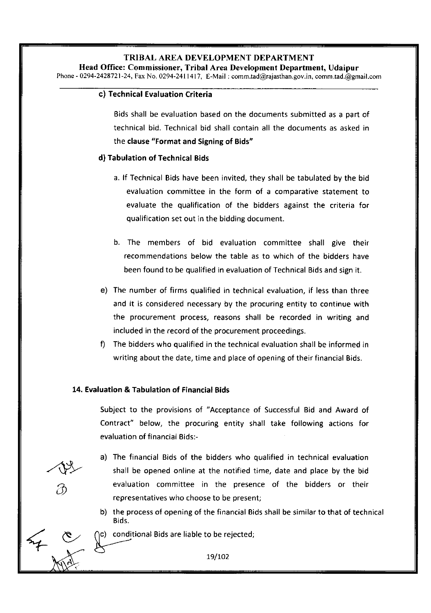Head Office: Commissioner, Tribal Area Development Department, Udaipur Phone - 0294-2428721-24, Fax No. 0294-2411417, E-Mail : comm.tad@rajasthan.gov.in, comm.tad.@gmail.com

## c) Technical Evaluation Criteria

Bids shall be evaluation based on the documents submitted as a part of technical bid. Technical bid shall contain all the documents as asked in the clause "Format and Signing of Bids"

#### d) Tabulation of Technical Bids

- a. lf Technical Bids have been invited, they shall be tabulated by the bid evaluation committee in the form of a comoarative statement to evaluate the qualification of the bidders against the criteria for qualification set out in the bidding document.
- b. The members of bid evaluation committee shall give their recommendations below the table as to which of the bidders have been found to be qualified in evaluation of Technical Bids and sign it.
- The number of firms qualified in technical evaluation, if less than three e) and it is considered necessary by the procuring entity to continue with the procurement process, reasons shall be recorded in writing and included in the record of the procurement proceedings.
- The bidders who qualified in the technical evaluation shall be informed in writing about the date, time and place of opening of their financial Bids.

#### 14. Evaluation & Tabulation of Financial Bids

Subject to the provisions of "Acceptance of Successful Bid and Award of Contract" below, the procuring entity shall take following actions for evaluation of financial Bids:-

The financial Bids of the bidders who qualified in technical evaluation a) shall be opened online at the notified time, date and place by the bid evaluation committee in the oresence of the bidders or their representatives who choose to be present;

b) the process of opening of the financial Bids shall be similar to that of technical <sup>B</sup>ids.

 $\cap$  conditional Bids are liable to be rejected;  $+$   $\frac{8}{1}$   $\frac{1}{1}$